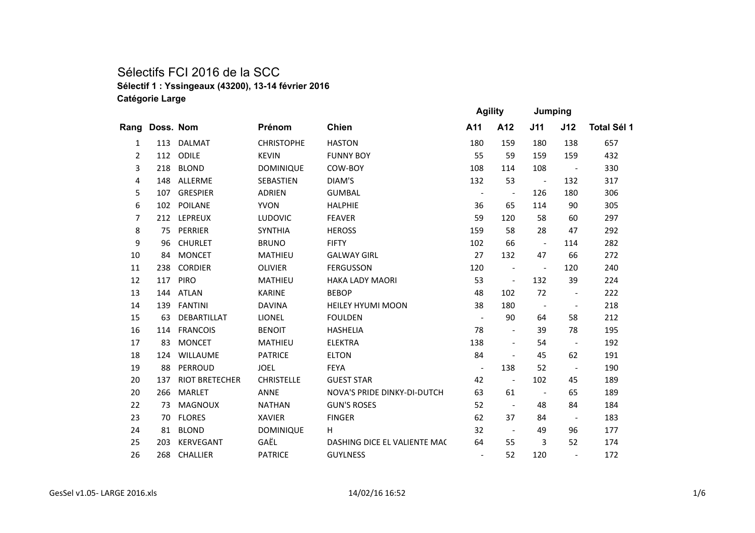## Sélectifs FCI 2016 de la SCC **Sélectif 1 : Yssingeaux (43200), 13-14 février 2016 Catégorie Large**

|                |           |                       |                   |                                    | <b>Agility</b>           |                          | Jumping                  |                          |                    |
|----------------|-----------|-----------------------|-------------------|------------------------------------|--------------------------|--------------------------|--------------------------|--------------------------|--------------------|
| Rang           | Doss. Nom |                       | Prénom            | <b>Chien</b>                       | A11                      | A12                      | J11                      | J12                      | <b>Total Sél 1</b> |
| 1              | 113       | DALMAT                | <b>CHRISTOPHE</b> | <b>HASTON</b>                      | 180                      | 159                      | 180                      | 138                      | 657                |
| $\overline{2}$ | 112       | ODILE                 | <b>KEVIN</b>      | <b>FUNNY BOY</b>                   | 55                       | 59                       | 159                      | 159                      | 432                |
| 3              | 218       | <b>BLOND</b>          | <b>DOMINIQUE</b>  | COW-BOY                            | 108                      | 114                      | 108                      | $\sim$ $-$               | 330                |
| 4              | 148       | ALLERME               | <b>SEBASTIEN</b>  | DIAM'S                             | 132                      | 53                       | $\sim$ $-$               | 132                      | 317                |
| 5              | 107       | <b>GRESPIER</b>       | <b>ADRIEN</b>     | <b>GUMBAL</b>                      | $\overline{\phantom{a}}$ | $\overline{\phantom{a}}$ | 126                      | 180                      | 306                |
| 6              |           | 102 POILANE           | <b>YVON</b>       | <b>HALPHIE</b>                     | 36                       | 65                       | 114                      | 90                       | 305                |
| $\overline{7}$ |           | 212 LEPREUX           | <b>LUDOVIC</b>    | <b>FEAVER</b>                      | 59                       | 120                      | 58                       | 60                       | 297                |
| 8              | 75        | PERRIER               | <b>SYNTHIA</b>    | <b>HEROSS</b>                      | 159                      | 58                       | 28                       | 47                       | 292                |
| 9              | 96        | <b>CHURLET</b>        | <b>BRUNO</b>      | <b>FIFTY</b>                       | 102                      | 66                       | $\overline{\phantom{a}}$ | 114                      | 282                |
| 10             | 84        | <b>MONCET</b>         | <b>MATHIEU</b>    | <b>GALWAY GIRL</b>                 | 27                       | 132                      | 47                       | 66                       | 272                |
| 11             | 238       | <b>CORDIER</b>        | <b>OLIVIER</b>    | <b>FERGUSSON</b>                   | 120                      | $\overline{\phantom{a}}$ | $\overline{\phantom{a}}$ | 120                      | 240                |
| 12             | 117       | <b>PIRO</b>           | <b>MATHIEU</b>    | <b>HAKA LADY MAORI</b>             | 53                       | $\overline{\phantom{a}}$ | 132                      | 39                       | 224                |
| 13             | 144       | <b>ATLAN</b>          | <b>KARINE</b>     | <b>BEBOP</b>                       | 48                       | 102                      | 72                       | $\overline{\phantom{a}}$ | 222                |
| 14             | 139       | <b>FANTINI</b>        | <b>DAVINA</b>     | <b>HEILEY HYUMI MOON</b>           | 38                       | 180                      | $\sim$                   | $\sim$                   | 218                |
| 15             | 63        | DEBARTILLAT           | <b>LIONEL</b>     | <b>FOULDEN</b>                     | $\overline{\phantom{a}}$ | 90                       | 64                       | 58                       | 212                |
| 16             | 114       | <b>FRANCOIS</b>       | <b>BENOIT</b>     | <b>HASHELIA</b>                    | 78                       | $\overline{\phantom{a}}$ | 39                       | 78                       | 195                |
| 17             | 83        | <b>MONCET</b>         | MATHIEU           | <b>ELEKTRA</b>                     | 138                      | $\overline{\phantom{a}}$ | 54                       | $\sim$ $-$               | 192                |
| 18             | 124       | <b>WILLAUME</b>       | <b>PATRICE</b>    | <b>ELTON</b>                       | 84                       | $\overline{\phantom{a}}$ | 45                       | 62                       | 191                |
| 19             | 88        | PERROUD               | <b>JOEL</b>       | <b>FEYA</b>                        | $\overline{\phantom{a}}$ | 138                      | 52                       | $\overline{\phantom{a}}$ | 190                |
| 20             | 137       | <b>RIOT BRETECHER</b> | <b>CHRISTELLE</b> | <b>GUEST STAR</b>                  | 42                       | $\sim$ $-$               | 102                      | 45                       | 189                |
| 20             | 266       | <b>MARLET</b>         | <b>ANNE</b>       | <b>NOVA'S PRIDE DINKY-DI-DUTCH</b> | 63                       | 61                       | $\sim$ $-$               | 65                       | 189                |
| 22             | 73        | <b>MAGNOUX</b>        | <b>NATHAN</b>     | <b>GUN'S ROSES</b>                 | 52                       | $\sim$ $-$               | 48                       | 84                       | 184                |
| 23             | 70        | <b>FLORES</b>         | <b>XAVIER</b>     | <b>FINGER</b>                      | 62                       | 37                       | 84                       | $\overline{\phantom{0}}$ | 183                |
| 24             | 81        | <b>BLOND</b>          | <b>DOMINIQUE</b>  | H.                                 | 32                       | $\sim$ $-$               | 49                       | 96                       | 177                |
| 25             | 203       | <b>KERVEGANT</b>      | GAËL              | DASHING DICE EL VALIENTE MAC       | 64                       | 55                       | 3                        | 52                       | 174                |
| 26             |           | 268 CHALLIER          | <b>PATRICE</b>    | <b>GUYLNESS</b>                    | $\overline{\phantom{a}}$ | 52                       | 120                      | $\overline{\phantom{a}}$ | 172                |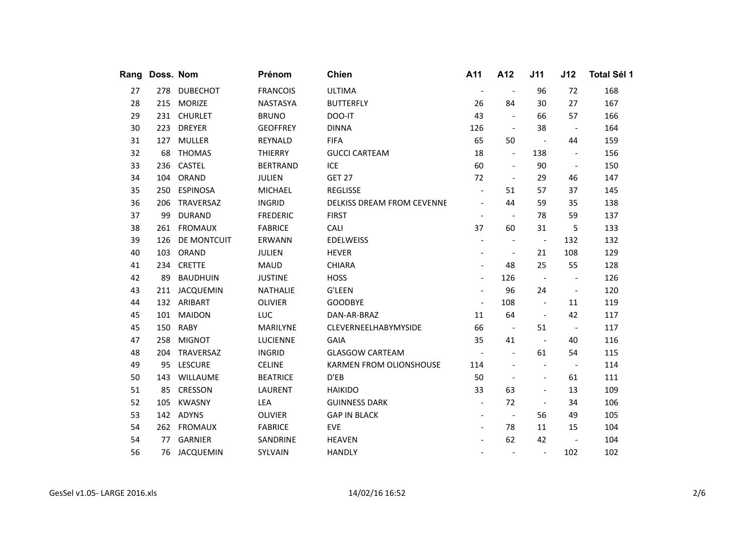| Rang | Doss. Nom |                  | Prénom          | <b>Chien</b>                      | A11                          | A12                      | J11                      | J12                      | Total Sél 1 |
|------|-----------|------------------|-----------------|-----------------------------------|------------------------------|--------------------------|--------------------------|--------------------------|-------------|
| 27   | 278       | <b>DUBECHOT</b>  | <b>FRANCOIS</b> | <b>ULTIMA</b>                     | $\overline{\phantom{a}}$     | $\overline{\phantom{a}}$ | 96                       | 72                       | 168         |
| 28   | 215       | <b>MORIZE</b>    | <b>NASTASYA</b> | <b>BUTTERFLY</b>                  | 26                           | 84                       | 30                       | 27                       | 167         |
| 29   |           | 231 CHURLET      | <b>BRUNO</b>    | DOO-IT                            | 43                           | $\blacksquare$           | 66                       | 57                       | 166         |
| 30   | 223       | <b>DREYER</b>    | <b>GEOFFREY</b> | <b>DINNA</b>                      | 126                          | $\sim$                   | 38                       | $\sim$ $-$               | 164         |
| 31   | 127       | <b>MULLER</b>    | REYNALD         | <b>FIFA</b>                       | 65                           | 50                       | $\overline{\phantom{a}}$ | 44                       | 159         |
| 32   | 68        | <b>THOMAS</b>    | <b>THIERRY</b>  | <b>GUCCI CARTEAM</b>              | 18                           | $\overline{\phantom{a}}$ | 138                      | $\overline{\phantom{a}}$ | 156         |
| 33   | 236       | <b>CASTEL</b>    | <b>BERTRAND</b> | <b>ICE</b>                        | 60                           | $\overline{\phantom{a}}$ | 90                       | $\blacksquare$           | 150         |
| 34   | 104       | ORAND            | <b>JULIEN</b>   | <b>GET 27</b>                     | 72                           | $\overline{\phantom{a}}$ | 29                       | 46                       | 147         |
| 35   | 250       | <b>ESPINOSA</b>  | <b>MICHAEL</b>  | <b>REGLISSE</b>                   | $\overline{\phantom{a}}$     | 51                       | 57                       | 37                       | 145         |
| 36   | 206       | TRAVERSAZ        | <b>INGRID</b>   | <b>DELKISS DREAM FROM CEVENNE</b> | $\overline{\phantom{a}}$     | 44                       | 59                       | 35                       | 138         |
| 37   | 99        | <b>DURAND</b>    | <b>FREDERIC</b> | <b>FIRST</b>                      | $\qquad \qquad \blacksquare$ | $\overline{\phantom{a}}$ | 78                       | 59                       | 137         |
| 38   | 261       | <b>FROMAUX</b>   | <b>FABRICE</b>  | CALI                              | 37                           | 60                       | 31                       | 5                        | 133         |
| 39   | 126       | DE MONTCUIT      | ERWANN          | <b>EDELWEISS</b>                  | $\overline{\phantom{a}}$     | $\overline{\phantom{a}}$ | $\overline{\phantom{a}}$ | 132                      | 132         |
| 40   | 103       | ORAND            | JULIEN          | <b>HEVER</b>                      | $\overline{\phantom{a}}$     | $\overline{\phantom{a}}$ | 21                       | 108                      | 129         |
| 41   | 234       | <b>CRETTE</b>    | <b>MAUD</b>     | <b>CHIARA</b>                     | $\overline{\phantom{a}}$     | 48                       | 25                       | 55                       | 128         |
| 42   | 89        | <b>BAUDHUIN</b>  | <b>JUSTINE</b>  | <b>HOSS</b>                       | $\overline{\phantom{a}}$     | 126                      | $\overline{\phantom{a}}$ | $\overline{a}$           | 126         |
| 43   | 211       | <b>JACQUEMIN</b> | <b>NATHALIE</b> | <b>G'LEEN</b>                     | $\overline{\phantom{a}}$     | 96                       | 24                       | $\overline{\phantom{a}}$ | 120         |
| 44   |           | 132 ARIBART      | <b>OLIVIER</b>  | <b>GOODBYE</b>                    | $\overline{\phantom{a}}$     | 108                      | $\overline{\phantom{a}}$ | 11                       | 119         |
| 45   | 101       | <b>MAIDON</b>    | LUC             | DAN-AR-BRAZ                       | 11                           | 64                       | $\overline{\phantom{a}}$ | 42                       | 117         |
| 45   | 150       | <b>RABY</b>      | MARILYNE        | CLEVERNEELHABYMYSIDE              | 66                           | $\sim$                   | 51                       | $\sim$                   | 117         |
| 47   | 258       | <b>MIGNOT</b>    | <b>LUCIENNE</b> | <b>GAIA</b>                       | 35                           | 41                       | $\overline{\phantom{a}}$ | 40                       | 116         |
| 48   | 204       | TRAVERSAZ        | <b>INGRID</b>   | <b>GLASGOW CARTEAM</b>            | $\overline{\phantom{a}}$     | $\overline{\phantom{a}}$ | 61                       | 54                       | 115         |
| 49   | 95        | <b>LESCURE</b>   | <b>CELINE</b>   | <b>KARMEN FROM OLIONSHOUSE</b>    | 114                          | $\overline{\phantom{a}}$ | $\overline{\phantom{a}}$ | $\overline{\phantom{a}}$ | 114         |
| 50   | 143       | <b>WILLAUME</b>  | <b>BEATRICE</b> | D'EB                              | 50                           | $\overline{\phantom{a}}$ | $\overline{\phantom{a}}$ | 61                       | 111         |
| 51   | 85        | <b>CRESSON</b>   | <b>LAURENT</b>  | <b>HAIKIDO</b>                    | 33                           | 63                       | $\overline{\phantom{a}}$ | 13                       | 109         |
| 52   | 105       | <b>KWASNY</b>    | LEA             | <b>GUINNESS DARK</b>              | $\overline{\phantom{a}}$     | 72                       | $\overline{\phantom{a}}$ | 34                       | 106         |
| 53   |           | 142 ADYNS        | <b>OLIVIER</b>  | <b>GAP IN BLACK</b>               | $\overline{\phantom{a}}$     | $\sim$                   | 56                       | 49                       | 105         |
| 54   |           | 262 FROMAUX      | <b>FABRICE</b>  | <b>EVE</b>                        | $\overline{\phantom{a}}$     | 78                       | 11                       | 15                       | 104         |
| 54   | 77        | <b>GARNIER</b>   | SANDRINE        | <b>HEAVEN</b>                     | $\overline{\phantom{a}}$     | 62                       | 42                       | $\overline{\phantom{a}}$ | 104         |
| 56   |           | 76 JACQUEMIN     | SYLVAIN         | <b>HANDLY</b>                     | $\overline{\phantom{a}}$     | $\overline{\phantom{a}}$ | $\overline{\phantom{a}}$ | 102                      | 102         |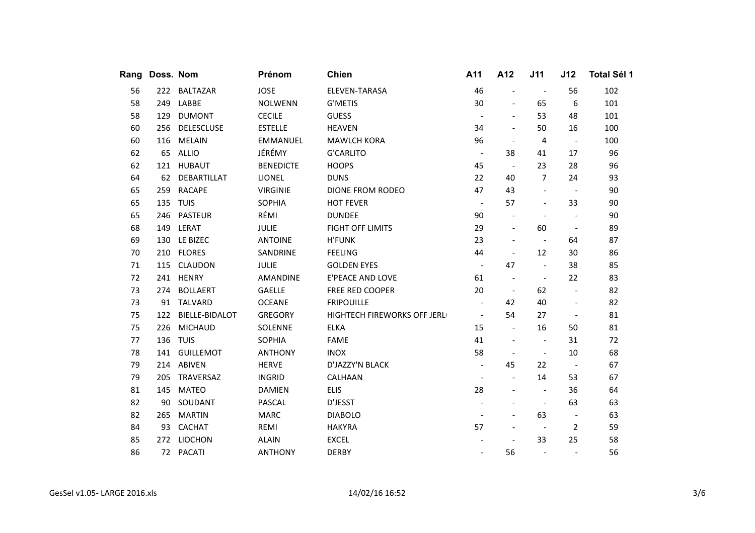| Rang | Doss. Nom |                   | Prénom           | <b>Chien</b>                | A11                      | A12                      | J11                      | J12                      | Total Sél 1 |
|------|-----------|-------------------|------------------|-----------------------------|--------------------------|--------------------------|--------------------------|--------------------------|-------------|
| 56   | 222       | <b>BALTAZAR</b>   | <b>JOSE</b>      | ELEVEN-TARASA               | 46                       | $\frac{1}{2}$            | $\overline{\phantom{a}}$ | 56                       | 102         |
| 58   | 249       | LABBE             | <b>NOLWENN</b>   | <b>G'METIS</b>              | 30                       | $\overline{\phantom{a}}$ | 65                       | 6                        | 101         |
| 58   | 129       | <b>DUMONT</b>     | <b>CECILE</b>    | <b>GUESS</b>                | $\overline{\phantom{a}}$ | $\overline{\phantom{a}}$ | 53                       | 48                       | 101         |
| 60   | 256       | <b>DELESCLUSE</b> | <b>ESTELLE</b>   | <b>HEAVEN</b>               | 34                       | $\overline{\phantom{a}}$ | 50                       | 16                       | 100         |
| 60   | 116       | <b>MELAIN</b>     | <b>EMMANUEL</b>  | <b>MAWLCH KORA</b>          | 96                       | $\overline{\phantom{a}}$ | 4                        | $\overline{\phantom{a}}$ | 100         |
| 62   | 65        | ALLIO             | JÉRÉMY           | <b>G'CARLITO</b>            | $\overline{\phantom{a}}$ | 38                       | 41                       | 17                       | 96          |
| 62   | 121       | <b>HUBAUT</b>     | <b>BENEDICTE</b> | <b>HOOPS</b>                | 45                       | $\sim$                   | 23                       | 28                       | 96          |
| 64   | 62        | DEBARTILLAT       | LIONEL           | <b>DUNS</b>                 | 22                       | 40                       | $\overline{7}$           | 24                       | 93          |
| 65   | 259       | <b>RACAPE</b>     | <b>VIRGINIE</b>  | <b>DIONE FROM RODEO</b>     | 47                       | 43                       | $\qquad \qquad -$        | $\sim$                   | 90          |
| 65   | 135       | <b>TUIS</b>       | <b>SOPHIA</b>    | <b>HOT FEVER</b>            | $\overline{\phantom{a}}$ | 57                       | $\overline{a}$           | 33                       | 90          |
| 65   | 246       | <b>PASTEUR</b>    | RÉMI             | <b>DUNDEE</b>               | 90                       | $\overline{\phantom{a}}$ | $\overline{\phantom{a}}$ | $\overline{\phantom{a}}$ | 90          |
| 68   | 149       | LERAT             | JULIE            | <b>FIGHT OFF LIMITS</b>     | 29                       | $\overline{\phantom{a}}$ | 60                       | $\overline{\phantom{a}}$ | 89          |
| 69   | 130       | LE BIZEC          | <b>ANTOINE</b>   | <b>H'FUNK</b>               | 23                       | $\overline{\phantom{a}}$ | $\overline{\phantom{a}}$ | 64                       | 87          |
| 70   |           | 210 FLORES        | SANDRINE         | <b>FEELING</b>              | 44                       | $\overline{\phantom{a}}$ | 12                       | 30                       | 86          |
| 71   | 115       | <b>CLAUDON</b>    | <b>JULIE</b>     | <b>GOLDEN EYES</b>          | $\sim$                   | 47                       | $\overline{\phantom{a}}$ | 38                       | 85          |
| 72   |           | 241 HENRY         | AMANDINE         | E'PEACE AND LOVE            | 61                       | $\overline{\phantom{a}}$ | $\overline{\phantom{a}}$ | 22                       | 83          |
| 73   | 274       | <b>BOLLAERT</b>   | GAELLE           | FREE RED COOPER             | 20                       | $\sim$                   | 62                       | $\blacksquare$           | 82          |
| 73   | 91        | <b>TALVARD</b>    | <b>OCEANE</b>    | <b>FRIPOUILLE</b>           | $\overline{\phantom{a}}$ | 42                       | 40                       | $\overline{\phantom{a}}$ | 82          |
| 75   | 122       | BIELLE-BIDALOT    | <b>GREGORY</b>   | HIGHTECH FIREWORKS OFF JERL | $\overline{\phantom{a}}$ | 54                       | 27                       | $\overline{\phantom{a}}$ | 81          |
| 75   | 226       | <b>MICHAUD</b>    | SOLENNE          | <b>ELKA</b>                 | 15                       | $\blacksquare$           | 16                       | 50                       | 81          |
| 77   | 136       | <b>TUIS</b>       | <b>SOPHIA</b>    | <b>FAME</b>                 | 41                       | $\overline{\phantom{a}}$ | $\overline{\phantom{a}}$ | 31                       | 72          |
| 78   | 141       | <b>GUILLEMOT</b>  | <b>ANTHONY</b>   | <b>INOX</b>                 | 58                       | $\overline{\phantom{a}}$ | $\overline{\phantom{a}}$ | 10                       | 68          |
| 79   |           | 214 ABIVEN        | <b>HERVE</b>     | D'JAZZY'N BLACK             | $\overline{\phantom{a}}$ | 45                       | 22                       | $\sim$                   | 67          |
| 79   | 205       | TRAVERSAZ         | <b>INGRID</b>    | CALHAAN                     | $\overline{\phantom{a}}$ | $\overline{\phantom{a}}$ | 14                       | 53                       | 67          |
| 81   | 145       | <b>MATEO</b>      | <b>DAMIEN</b>    | <b>ELIS</b>                 | 28                       | $\overline{\phantom{a}}$ | $\overline{\phantom{a}}$ | 36                       | 64          |
| 82   | 90        | SOUDANT           | <b>PASCAL</b>    | D'JESST                     | $\overline{\phantom{a}}$ |                          | $\overline{\phantom{a}}$ | 63                       | 63          |
| 82   | 265       | <b>MARTIN</b>     | <b>MARC</b>      | <b>DIABOLO</b>              | $\overline{\phantom{a}}$ | $\overline{\phantom{a}}$ | 63                       | $\overline{\phantom{a}}$ | 63          |
| 84   | 93        | <b>CACHAT</b>     | REMI             | <b>HAKYRA</b>               | 57                       | $\overline{a}$           | $\overline{\phantom{a}}$ | $\overline{2}$           | 59          |
| 85   | 272       | LIOCHON           | <b>ALAIN</b>     | <b>EXCEL</b>                | $\overline{\phantom{a}}$ | $\overline{\phantom{a}}$ | 33                       | 25                       | 58          |
| 86   |           | 72 PACATI         | <b>ANTHONY</b>   | <b>DERBY</b>                | $\qquad \qquad -$        | 56                       | $\overline{\phantom{a}}$ | $\overline{\phantom{a}}$ | 56          |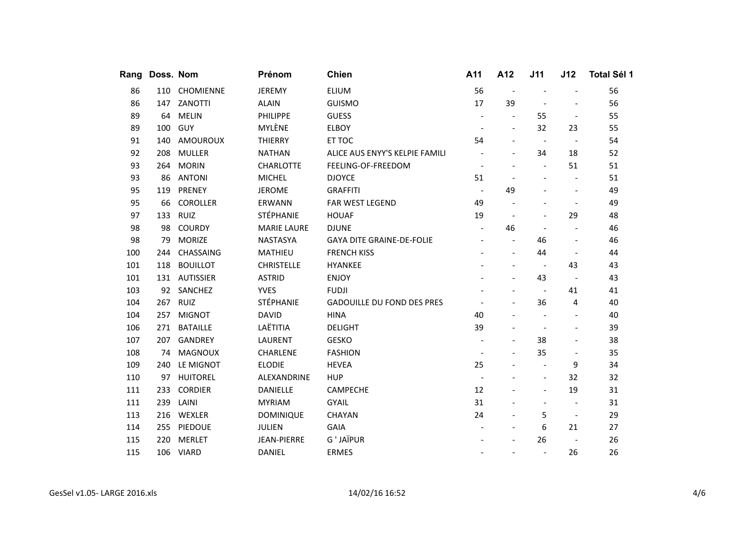| Rang | Doss. Nom |                  | Prénom             | <b>Chien</b>                      | A11                      | A12                      | J11                      | J12                      | <b>Total Sél 1</b> |
|------|-----------|------------------|--------------------|-----------------------------------|--------------------------|--------------------------|--------------------------|--------------------------|--------------------|
| 86   | 110       | CHOMIENNE        | <b>JEREMY</b>      | <b>ELIUM</b>                      | 56                       | $\overline{a}$           |                          | $\overline{a}$           | 56                 |
| 86   | 147       | ZANOTTI          | <b>ALAIN</b>       | <b>GUISMO</b>                     | 17                       | 39                       |                          | $\overline{\phantom{a}}$ | 56                 |
| 89   | 64        | <b>MELIN</b>     | <b>PHILIPPE</b>    | <b>GUESS</b>                      | $\overline{\phantom{a}}$ | $\blacksquare$           | 55                       | $\overline{\phantom{a}}$ | 55                 |
| 89   | 100       | GUY              | MYLÈNE             | <b>ELBOY</b>                      | $\overline{\phantom{a}}$ | $\overline{\phantom{a}}$ | 32                       | 23                       | 55                 |
| 91   | 140       | AMOUROUX         | <b>THIERRY</b>     | ET TOC                            | 54                       |                          | $\overline{\phantom{a}}$ | $\overline{\phantom{a}}$ | 54                 |
| 92   | 208       | <b>MULLER</b>    | <b>NATHAN</b>      | ALICE AUS ENYY'S KELPIE FAMILI    |                          |                          | 34                       | 18                       | 52                 |
| 93   | 264       | <b>MORIN</b>     | <b>CHARLOTTE</b>   | FEELING-OF-FREEDOM                |                          |                          | $\blacksquare$           | 51                       | 51                 |
| 93   | 86        | <b>ANTONI</b>    | <b>MICHEL</b>      | <b>DJOYCE</b>                     | 51                       | $\overline{\phantom{a}}$ | $\overline{a}$           | $\overline{a}$           | 51                 |
| 95   | 119       | PRENEY           | <b>JEROME</b>      | <b>GRAFFITI</b>                   | $\overline{\phantom{a}}$ | 49                       |                          | $\overline{\phantom{a}}$ | 49                 |
| 95   | 66        | <b>COROLLER</b>  | ERWANN             | FAR WEST LEGEND                   | 49                       |                          |                          | $\overline{\phantom{a}}$ | 49                 |
| 97   | 133       | RUIZ             | STÉPHANIE          | <b>HOUAF</b>                      | 19                       | $\overline{\phantom{a}}$ | $\overline{a}$           | 29                       | 48                 |
| 98   | 98        | <b>COURDY</b>    | <b>MARIE LAURE</b> | <b>DJUNE</b>                      | $\overline{\phantom{a}}$ | 46                       |                          |                          | 46                 |
| 98   | 79        | <b>MORIZE</b>    | <b>NASTASYA</b>    | <b>GAYA DITE GRAINE-DE-FOLIE</b>  |                          | $\blacksquare$           | 46                       |                          | 46                 |
| 100  | 244       | CHASSAING        | MATHIEU            | <b>FRENCH KISS</b>                |                          | $\overline{\phantom{a}}$ | 44                       | $\overline{\phantom{a}}$ | 44                 |
| 101  | 118       | <b>BOUILLOT</b>  | <b>CHRISTELLE</b>  | <b>HYANKEE</b>                    |                          |                          | $\overline{\phantom{a}}$ | 43                       | 43                 |
| 101  | 131       | <b>AUTISSIER</b> | <b>ASTRID</b>      | <b>ENJOY</b>                      |                          | $\blacksquare$           | 43                       | $\overline{\phantom{a}}$ | 43                 |
| 103  | 92        | SANCHEZ          | <b>YVES</b>        | <b>FUDJI</b>                      |                          |                          | $\sim$                   | 41                       | 41                 |
| 104  |           | 267 RUIZ         | <b>STÉPHANIE</b>   | <b>GADOUILLE DU FOND DES PRES</b> |                          |                          | 36                       | 4                        | 40                 |
| 104  | 257       | <b>MIGNOT</b>    | <b>DAVID</b>       | <b>HINA</b>                       | 40                       |                          | $\overline{\phantom{a}}$ | $\overline{\phantom{a}}$ | 40                 |
| 106  | 271       | <b>BATAILLE</b>  | LAËTITIA           | <b>DELIGHT</b>                    | 39                       | $\overline{a}$           |                          | $\overline{\phantom{a}}$ | 39                 |
| 107  | 207       | <b>GANDREY</b>   | LAURENT            | <b>GESKO</b>                      |                          | $\overline{\phantom{a}}$ | 38                       | $\overline{\phantom{a}}$ | 38                 |
| 108  | 74        | <b>MAGNOUX</b>   | <b>CHARLENE</b>    | <b>FASHION</b>                    |                          |                          | 35                       | $\overline{\phantom{a}}$ | 35                 |
| 109  | 240       | LE MIGNOT        | <b>ELODIE</b>      | <b>HEVEA</b>                      | 25                       |                          | $\overline{\phantom{a}}$ | 9                        | 34                 |
| 110  | 97        | <b>HUITOREL</b>  | ALEXANDRINE        | <b>HUP</b>                        | $\overline{\phantom{a}}$ |                          | $\overline{\phantom{a}}$ | 32                       | 32                 |
| 111  | 233       | <b>CORDIER</b>   | <b>DANIELLE</b>    | <b>CAMPECHE</b>                   | 12                       |                          | $\overline{a}$           | 19                       | 31                 |
| 111  | 239       | LAINI            | <b>MYRIAM</b>      | <b>GYAIL</b>                      | 31                       |                          | $\overline{\phantom{a}}$ | $\overline{\phantom{a}}$ | 31                 |
| 113  | 216       | WEXLER           | <b>DOMINIQUE</b>   | CHAYAN                            | 24                       | $\blacksquare$           | 5                        | $\blacksquare$           | 29                 |
| 114  | 255       | PIEDOUE          | <b>JULIEN</b>      | <b>GAIA</b>                       |                          |                          | 6                        | 21                       | 27                 |
| 115  | 220       | <b>MERLET</b>    | <b>JEAN-PIERRE</b> | G ' JAÏPUR                        |                          |                          | 26                       | $\overline{\phantom{a}}$ | 26                 |
| 115  |           | 106 VIARD        | <b>DANIEL</b>      | <b>ERMES</b>                      |                          | $\overline{\phantom{a}}$ | $\overline{\phantom{a}}$ | 26                       | 26                 |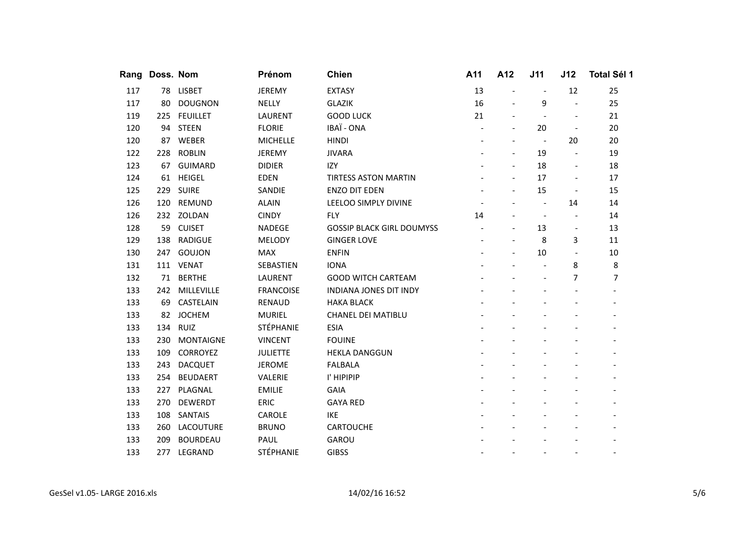|     | Rang Doss. Nom |                  | Prénom           | <b>Chien</b>                     | A11 | A12                      | J11                      | J12                      | <b>Total Sél 1</b>       |
|-----|----------------|------------------|------------------|----------------------------------|-----|--------------------------|--------------------------|--------------------------|--------------------------|
| 117 |                | 78 LISBET        | <b>JEREMY</b>    | <b>EXTASY</b>                    | 13  |                          | $\overline{\phantom{a}}$ | 12                       | 25                       |
| 117 | 80             | <b>DOUGNON</b>   | <b>NELLY</b>     | <b>GLAZIK</b>                    | 16  | $\overline{\phantom{a}}$ | 9                        | $\overline{a}$           | 25                       |
| 119 | 225            | <b>FEUILLET</b>  | LAURENT          | <b>GOOD LUCK</b>                 | 21  |                          |                          |                          | 21                       |
| 120 | 94             | <b>STEEN</b>     | <b>FLORIE</b>    | IBAÏ - ONA                       |     | $\overline{\phantom{a}}$ | 20                       | $\overline{\phantom{a}}$ | 20                       |
| 120 | 87             | WEBER            | <b>MICHELLE</b>  | <b>HINDI</b>                     |     |                          | $\overline{\phantom{a}}$ | 20                       | 20                       |
| 122 | 228            | <b>ROBLIN</b>    | <b>JEREMY</b>    | <b>JIVARA</b>                    |     | $\overline{a}$           | 19                       | $\overline{a}$           | 19                       |
| 123 | 67             | <b>GUIMARD</b>   | <b>DIDIER</b>    | IZY                              |     | $\overline{\phantom{a}}$ | 18                       | $\overline{\phantom{a}}$ | 18                       |
| 124 | 61             | <b>HEIGEL</b>    | <b>EDEN</b>      | <b>TIRTESS ASTON MARTIN</b>      |     |                          | 17                       | $\overline{\phantom{a}}$ | 17                       |
| 125 | 229            | <b>SUIRE</b>     | SANDIE           | <b>ENZO DIT EDEN</b>             |     | $\overline{\phantom{a}}$ | 15                       | $\overline{\phantom{a}}$ | 15                       |
| 126 | 120            | REMUND           | <b>ALAIN</b>     | LEELOO SIMPLY DIVINE             |     |                          |                          | 14                       | 14                       |
| 126 | 232            | ZOLDAN           | <b>CINDY</b>     | <b>FLY</b>                       | 14  |                          | $\overline{\phantom{a}}$ |                          | 14                       |
| 128 | 59             | <b>CUISET</b>    | <b>NADEGE</b>    | <b>GOSSIP BLACK GIRL DOUMYSS</b> |     | $\overline{a}$           | 13                       | $\overline{\phantom{a}}$ | 13                       |
| 129 | 138            | <b>RADIGUE</b>   | <b>MELODY</b>    | <b>GINGER LOVE</b>               |     |                          | 8                        | 3                        | 11                       |
| 130 | 247            | GOUJON           | <b>MAX</b>       | <b>ENFIN</b>                     |     |                          | 10                       | $\overline{\phantom{a}}$ | 10                       |
| 131 |                | 111 VENAT        | SEBASTIEN        | <b>IONA</b>                      |     |                          |                          | 8                        | 8                        |
| 132 | 71             | <b>BERTHE</b>    | LAURENT          | <b>GOOD WITCH CARTEAM</b>        |     |                          | $\overline{\phantom{a}}$ | 7                        | 7                        |
| 133 | 242            | MILLEVILLE       | <b>FRANCOISE</b> | <b>INDIANA JONES DIT INDY</b>    |     |                          |                          |                          |                          |
| 133 | 69             | CASTELAIN        | <b>RENAUD</b>    | <b>HAKA BLACK</b>                |     |                          |                          |                          |                          |
| 133 | 82             | <b>JOCHEM</b>    | <b>MURIEL</b>    | <b>CHANEL DEI MATIBLU</b>        |     |                          |                          |                          |                          |
| 133 |                | 134 RUIZ         | <b>STÉPHANIE</b> | <b>ESIA</b>                      |     |                          |                          |                          |                          |
| 133 | 230            | <b>MONTAIGNE</b> | <b>VINCENT</b>   | <b>FOUINE</b>                    |     |                          |                          |                          |                          |
| 133 | 109            | CORROYEZ         | <b>JULIETTE</b>  | <b>HEKLA DANGGUN</b>             |     |                          |                          |                          |                          |
| 133 | 243            | <b>DACQUET</b>   | <b>JEROME</b>    | <b>FALBALA</b>                   |     |                          |                          |                          |                          |
| 133 | 254            | <b>BEUDAERT</b>  | VALERIE          | I' HIPIPIP                       |     |                          |                          |                          |                          |
| 133 | 227            | PLAGNAL          | <b>EMILIE</b>    | <b>GAIA</b>                      |     |                          |                          |                          |                          |
| 133 | 270            | <b>DEWERDT</b>   | <b>ERIC</b>      | <b>GAYA RED</b>                  |     |                          |                          |                          |                          |
| 133 | 108            | <b>SANTAIS</b>   | CAROLE           | IKE                              |     |                          |                          |                          |                          |
| 133 | 260            | <b>LACOUTURE</b> | <b>BRUNO</b>     | <b>CARTOUCHE</b>                 |     |                          |                          |                          |                          |
| 133 | 209            | <b>BOURDEAU</b>  | PAUL             | GAROU                            |     |                          |                          |                          |                          |
| 133 | 277            | LEGRAND          | <b>STÉPHANIE</b> | <b>GIBSS</b>                     |     | $\overline{\phantom{a}}$ | $\overline{\phantom{a}}$ | $\overline{\phantom{a}}$ | $\overline{\phantom{a}}$ |